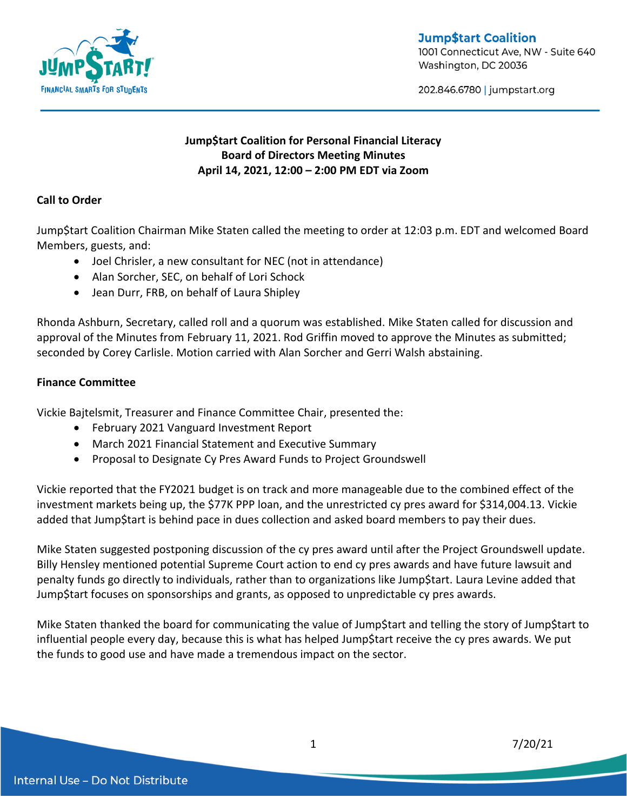

**Jump\$tart Coalition** 1001 Connecticut Ave, NW - Suite 640 Washington, DC 20036

202.846.6780 | jumpstart.org

# **Jump\$tart Coalition for Personal Financial Literacy Board of Directors Meeting Minutes April 14, 2021, 12:00 – 2:00 PM EDT via Zoom**

## **Call to Order**

Jump\$tart Coalition Chairman Mike Staten called the meeting to order at 12:03 p.m. EDT and welcomed Board Members, guests, and:

- Joel Chrisler, a new consultant for NEC (not in attendance)
- Alan Sorcher, SEC, on behalf of Lori Schock
- Jean Durr, FRB, on behalf of Laura Shipley

Rhonda Ashburn, Secretary, called roll and a quorum was established. Mike Staten called for discussion and approval of the Minutes from February 11, 2021. Rod Griffin moved to approve the Minutes as submitted; seconded by Corey Carlisle. Motion carried with Alan Sorcher and Gerri Walsh abstaining.

### **Finance Committee**

Vickie Bajtelsmit, Treasurer and Finance Committee Chair, presented the:

- February 2021 Vanguard Investment Report
- March 2021 Financial Statement and Executive Summary
- Proposal to Designate Cy Pres Award Funds to Project Groundswell

Vickie reported that the FY2021 budget is on track and more manageable due to the combined effect of the investment markets being up, the \$77K PPP loan, and the unrestricted cy pres award for \$314,004.13. Vickie added that Jump\$tart is behind pace in dues collection and asked board members to pay their dues.

Mike Staten suggested postponing discussion of the cy pres award until after the Project Groundswell update. Billy Hensley mentioned potential Supreme Court action to end cy pres awards and have future lawsuit and penalty funds go directly to individuals, rather than to organizations like Jump\$tart. Laura Levine added that Jump\$tart focuses on sponsorships and grants, as opposed to unpredictable cy pres awards.

Mike Staten thanked the board for communicating the value of Jump\$tart and telling the story of Jump\$tart to influential people every day, because this is what has helped Jump\$tart receive the cy pres awards. We put the funds to good use and have made a tremendous impact on the sector.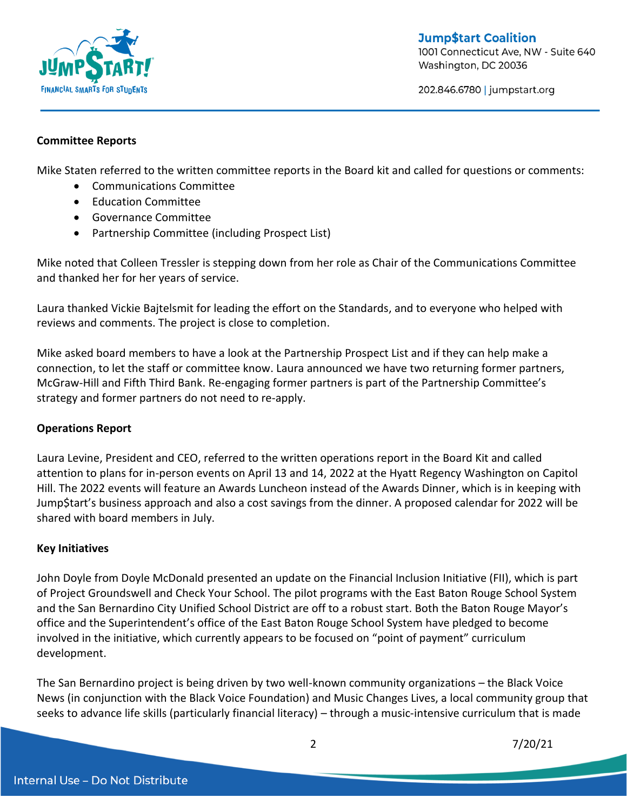

**Jump\$tart Coalition** 1001 Connecticut Ave, NW - Suite 640 Washington, DC 20036

202.846.6780 | jumpstart.org

#### **Committee Reports**

Mike Staten referred to the written committee reports in the Board kit and called for questions or comments:

- Communications Committee
- Education Committee
- Governance Committee
- Partnership Committee (including Prospect List)

Mike noted that Colleen Tressler is stepping down from her role as Chair of the Communications Committee and thanked her for her years of service.

Laura thanked Vickie Bajtelsmit for leading the effort on the Standards, and to everyone who helped with reviews and comments. The project is close to completion.

Mike asked board members to have a look at the Partnership Prospect List and if they can help make a connection, to let the staff or committee know. Laura announced we have two returning former partners, McGraw-Hill and Fifth Third Bank. Re-engaging former partners is part of the Partnership Committee's strategy and former partners do not need to re-apply.

### **Operations Report**

Laura Levine, President and CEO, referred to the written operations report in the Board Kit and called attention to plans for in-person events on April 13 and 14, 2022 at the Hyatt Regency Washington on Capitol Hill. The 2022 events will feature an Awards Luncheon instead of the Awards Dinner, which is in keeping with Jump\$tart's business approach and also a cost savings from the dinner. A proposed calendar for 2022 will be shared with board members in July.

#### **Key Initiatives**

John Doyle from Doyle McDonald presented an update on the Financial Inclusion Initiative (FII), which is part of Project Groundswell and Check Your School. The pilot programs with the East Baton Rouge School System and the San Bernardino City Unified School District are off to a robust start. Both the Baton Rouge Mayor's office and the Superintendent's office of the East Baton Rouge School System have pledged to become involved in the initiative, which currently appears to be focused on "point of payment" curriculum development.

The San Bernardino project is being driven by two well-known community organizations – the Black Voice News (in conjunction with the Black Voice Foundation) and Music Changes Lives, a local community group that seeks to advance life skills (particularly financial literacy) – through a music-intensive curriculum that is made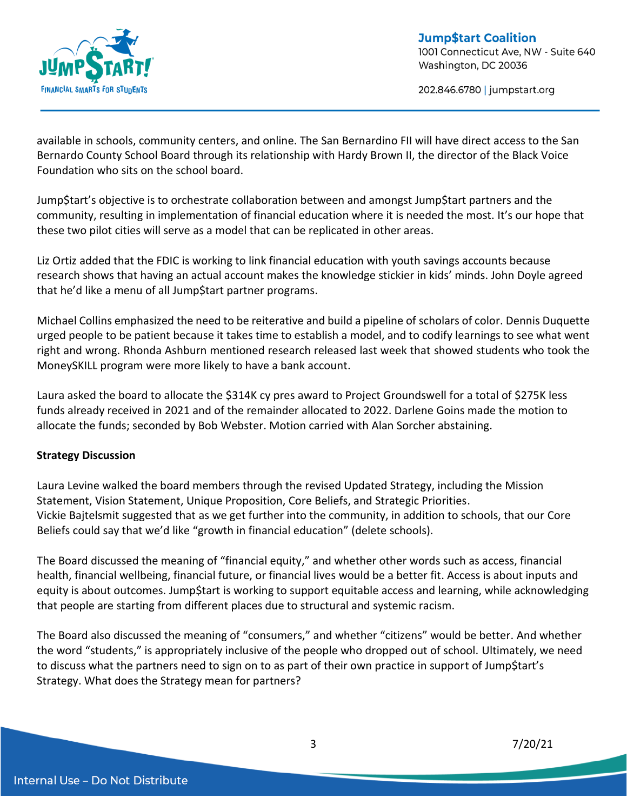

202.846.6780 | jumpstart.org

available in schools, community centers, and online. The San Bernardino FII will have direct access to the San Bernardo County School Board through its relationship with Hardy Brown II, the director of the Black Voice Foundation who sits on the school board.

Jump\$tart's objective is to orchestrate collaboration between and amongst Jump\$tart partners and the community, resulting in implementation of financial education where it is needed the most. It's our hope that these two pilot cities will serve as a model that can be replicated in other areas.

Liz Ortiz added that the FDIC is working to link financial education with youth savings accounts because research shows that having an actual account makes the knowledge stickier in kids' minds. John Doyle agreed that he'd like a menu of all Jump\$tart partner programs.

Michael Collins emphasized the need to be reiterative and build a pipeline of scholars of color. Dennis Duquette urged people to be patient because it takes time to establish a model, and to codify learnings to see what went right and wrong. Rhonda Ashburn mentioned research released last week that showed students who took the MoneySKILL program were more likely to have a bank account.

Laura asked the board to allocate the \$314K cy pres award to Project Groundswell for a total of \$275K less funds already received in 2021 and of the remainder allocated to 2022. Darlene Goins made the motion to allocate the funds; seconded by Bob Webster. Motion carried with Alan Sorcher abstaining.

## **Strategy Discussion**

Laura Levine walked the board members through the revised Updated Strategy, including the Mission Statement, Vision Statement, Unique Proposition, Core Beliefs, and Strategic Priorities. Vickie Bajtelsmit suggested that as we get further into the community, in addition to schools, that our Core Beliefs could say that we'd like "growth in financial education" (delete schools).

The Board discussed the meaning of "financial equity," and whether other words such as access, financial health, financial wellbeing, financial future, or financial lives would be a better fit. Access is about inputs and equity is about outcomes. Jump\$tart is working to support equitable access and learning, while acknowledging that people are starting from different places due to structural and systemic racism.

The Board also discussed the meaning of "consumers," and whether "citizens" would be better. And whether the word "students," is appropriately inclusive of the people who dropped out of school. Ultimately, we need to discuss what the partners need to sign on to as part of their own practice in support of Jump\$tart's Strategy. What does the Strategy mean for partners?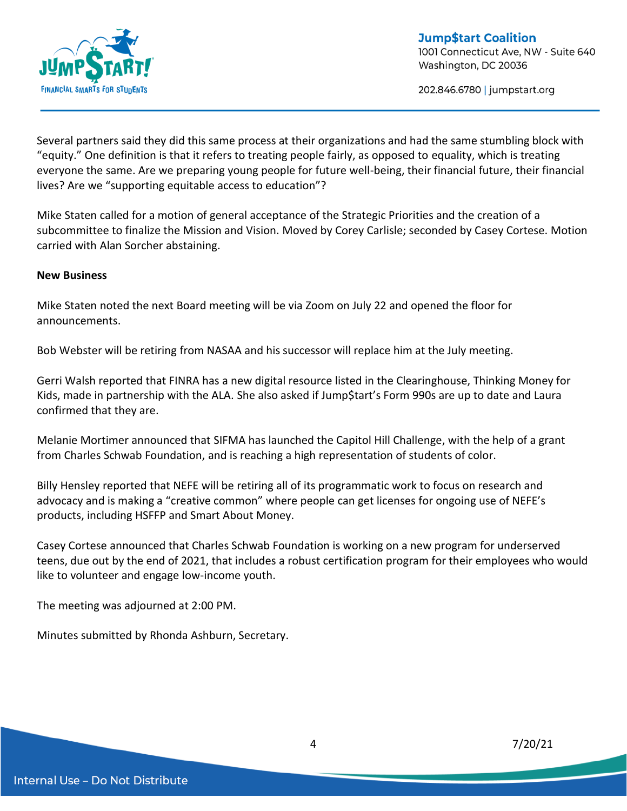

202.846.6780 | jumpstart.org

Several partners said they did this same process at their organizations and had the same stumbling block with "equity." One definition is that it refers to treating people fairly, as opposed to equality, which is treating everyone the same. Are we preparing young people for future well-being, their financial future, their financial lives? Are we "supporting equitable access to education"?

Mike Staten called for a motion of general acceptance of the Strategic Priorities and the creation of a subcommittee to finalize the Mission and Vision. Moved by Corey Carlisle; seconded by Casey Cortese. Motion carried with Alan Sorcher abstaining.

#### **New Business**

Mike Staten noted the next Board meeting will be via Zoom on July 22 and opened the floor for announcements.

Bob Webster will be retiring from NASAA and his successor will replace him at the July meeting.

Gerri Walsh reported that FINRA has a new digital resource listed in the Clearinghouse, Thinking Money for Kids, made in partnership with the ALA. She also asked if Jump\$tart's Form 990s are up to date and Laura confirmed that they are.

Melanie Mortimer announced that SIFMA has launched the Capitol Hill Challenge, with the help of a grant from Charles Schwab Foundation, and is reaching a high representation of students of color.

Billy Hensley reported that NEFE will be retiring all of its programmatic work to focus on research and advocacy and is making a "creative common" where people can get licenses for ongoing use of NEFE's products, including HSFFP and Smart About Money.

Casey Cortese announced that Charles Schwab Foundation is working on a new program for underserved teens, due out by the end of 2021, that includes a robust certification program for their employees who would like to volunteer and engage low-income youth.

The meeting was adjourned at 2:00 PM.

Minutes submitted by Rhonda Ashburn, Secretary.